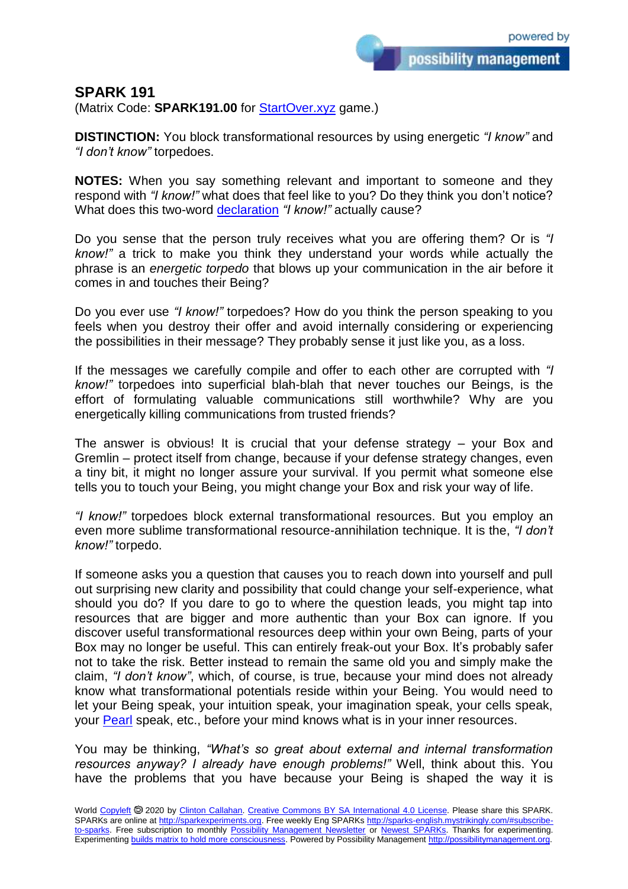possibility management

## **SPARK 191**

(Matrix Code: **SPARK191.00** for **StartOver.xyz** game.)

**DISTINCTION:** You block transformational resources by using energetic *"I know"* and *"I don't know"* torpedoes.

**NOTES:** When you say something relevant and important to someone and they respond with *"I know!"* what does that feel like to you? Do they think you don't notice? What does this two-word [declaration](http://3powers.mystrikingly.com/) *"I know!"* actually cause?

Do you sense that the person truly receives what you are offering them? Or is *"I know!"* a trick to make you think they understand your words while actually the phrase is an *energetic torpedo* that blows up your communication in the air before it comes in and touches their Being?

Do you ever use *"I know!"* torpedoes? How do you think the person speaking to you feels when you destroy their offer and avoid internally considering or experiencing the possibilities in their message? They probably sense it just like you, as a loss.

If the messages we carefully compile and offer to each other are corrupted with *"I know!"* torpedoes into superficial blah-blah that never touches our Beings, is the effort of formulating valuable communications still worthwhile? Why are you energetically killing communications from trusted friends?

The answer is obvious! It is crucial that your defense strategy – your Box and Gremlin – protect itself from change, because if your defense strategy changes, even a tiny bit, it might no longer assure your survival. If you permit what someone else tells you to touch your Being, you might change your Box and risk your way of life.

*"I know!"* torpedoes block external transformational resources. But you employ an even more sublime transformational resource-annihilation technique. It is the, *"I don't know!"* torpedo.

If someone asks you a question that causes you to reach down into yourself and pull out surprising new clarity and possibility that could change your self-experience, what should you do? If you dare to go to where the question leads, you might tap into resources that are bigger and more authentic than your Box can ignore. If you discover useful transformational resources deep within your own Being, parts of your Box may no longer be useful. This can entirely freak-out your Box. It's probably safer not to take the risk. Better instead to remain the same old you and simply make the claim, *"I don't know"*, which, of course, is true, because your mind does not already know what transformational potentials reside within your Being. You would need to let your Being speak, your intuition speak, your imagination speak, your cells speak, your [Pearl](http://yourpearl.mystrikingly.com/) speak, etc., before your mind knows what is in your inner resources.

You may be thinking, *"What's so great about external and internal transformation resources anyway? I already have enough problems!"* Well, think about this. You have the problems that you have because your Being is shaped the way it is